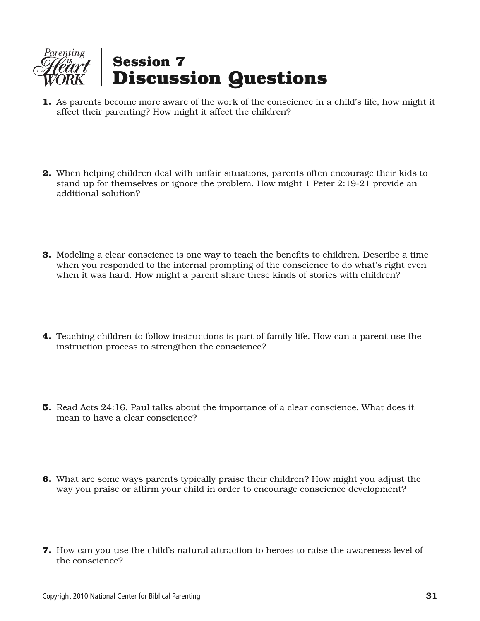

- **1.** As parents become more aware of the work of the conscience in a child's life, how might it affect their parenting? How might it affect the children?
- **2.** When helping children deal with unfair situations, parents often encourage their kids to stand up for themselves or ignore the problem. How might 1 Peter 2:19-21 provide an additional solution?
- **3.** Modeling a clear conscience is one way to teach the benefits to children. Describe a time when you responded to the internal prompting of the conscience to do what's right even when it was hard. How might a parent share these kinds of stories with children?
- **4.** Teaching children to follow instructions is part of family life. How can a parent use the instruction process to strengthen the conscience?
- **5.** Read Acts 24:16. Paul talks about the importance of a clear conscience. What does it mean to have a clear conscience?
- **6.** What are some ways parents typically praise their children? How might you adjust the way you praise or affirm your child in order to encourage conscience development?
- **7.** How can you use the child's natural attraction to heroes to raise the awareness level of the conscience?